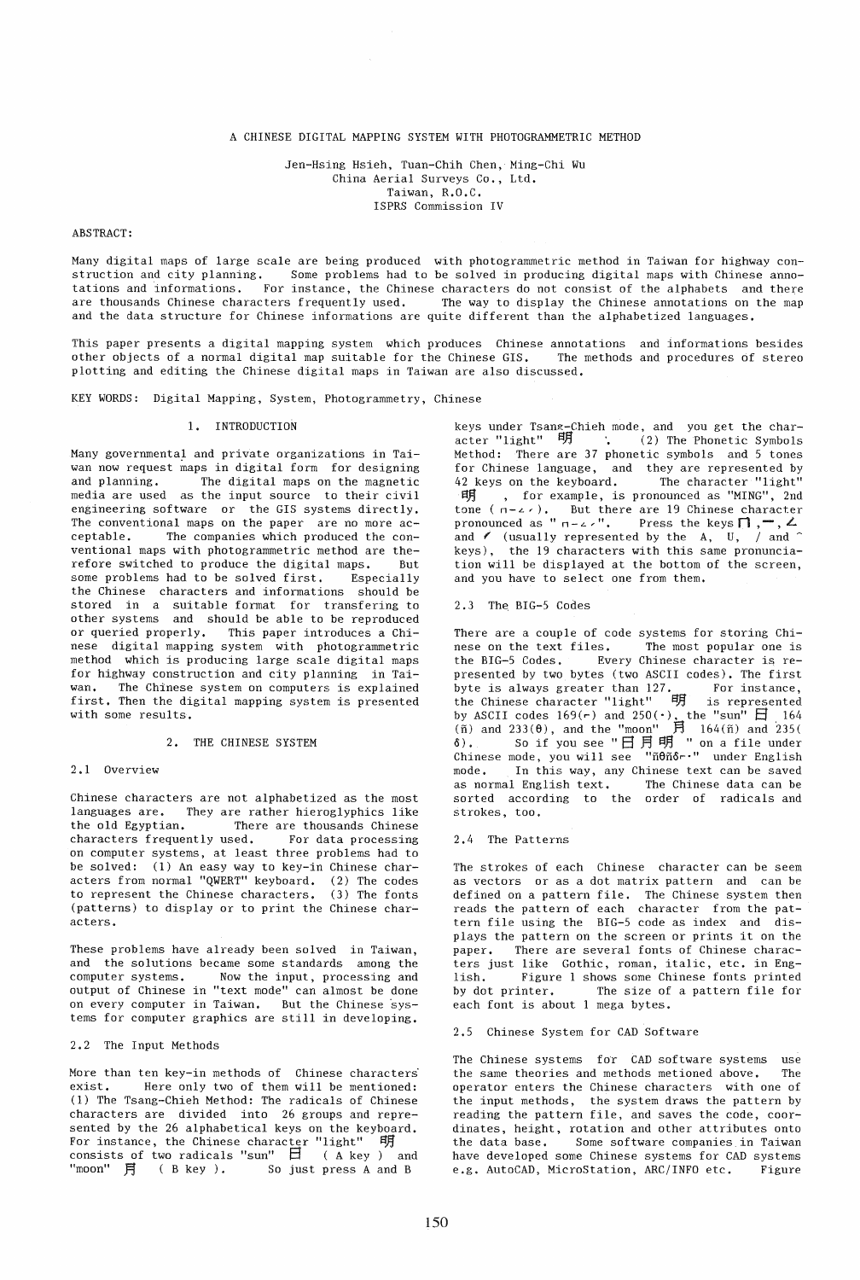# A CHINESE DIGITAL MAPPING SYSTEM WITH PHOTOGRAMMETRIC METHOD

Jen-Hsing Hsieh, Tuan-Chih Chen, Ming-Chi Wu China Aerial Surveys Co., Ltd. Taiwan, R.O,C. ISPRS Commission IV

#### ABSTRACT:

Many digital maps of large scale are being produced with photogrammetric method in Taiwan for highway construction and city planning. Some problems had to be solved in producing digital maps with Chinese annotations and informations. For instance, the Chinese characters do not consist of the alphabets and there are thousands Chinese characters frequently used. The way to display the Chinese annotations on the map and the data structure for Chinese informations are quite different than the alphabetized languages.

This paper presents a digital mapping system which produces Chinese annotations and informations besides other objects of a normal digital map suitable for the Chinese GIS. The methods and procedures of stereo plotting and editing the Chinese digital maps in Taiwan are also discussed.

KEY WORDS: Digital Mapping, System, Photogrammetry, Chinese

## 1. INTRODUCTION

Many governmental and private organizations in Taiwan now request maps in digital form for designing and planning. The digital maps on the magnetic<br>media are used as the input source to their civil as the input source to their civil engineering software or the GIS systems directly. The conventional maps on the paper are no more ac-<br>ceptable. The companies which produced the con-The companies which produced the conventional maps with photogrammetric method are the-<br>refore switched to produce the digital maps. But refore switched to produce the digital maps. But<br>some problems had to be solved first. Especially some problems had to be solved first. the Chinese characters and informations should be stored in a suitable format for transfering to other systems and should be able to be reproduced or queried properly. This paper introduces a Chinese digital mapping system with photogrammetric method which is producing large scale digital maps for highway construction and city planning in Taiwan. The Chinese system on computers is explained first. Then the digital mapping system is presented with some results.

### 2. THE CHINESE SYSTEM

### 2.1 Overview

Chinese characters are not alphabetized as the most languages are. They are rather hieroglyphics like the old Egyptian. There are thousands Chinese characters frequently used. For data processing on computer systems, at least three problems had to be solved: (1) An easy way to key-in Chinese characters from normal "QWERT" keyboard. (2) The codes to represent the Chinese characters. (3) The fonts (patterns) to display or to print the Chinese characters.

These problems have already been solved in Taiwan, and the solutions became some standards among the computer systems. Now the input, processing and output of Chinese in "text mode" can almost be done on every computer in Taiwan. But the Chinese systems for computer graphics are still in developing.

## 2.2 The Input Methods

More than ten key-in methods of Chinese characters exist. Here only two of them will be mentioned: (1) The Tsang-Chieh Method: The radicals of Chinese characters are divided into 26 groups and represented by the 26 alphabetical keys on the keyboard. For instance, the Chinese character "light"  $\stackrel{\textsf{\small{q}}}{\textsf{H}}$  consists of two radicals "sun"  $\stackrel{\textsf{\small{q}}}{\textsf{H}}$  ( A key ) and "moon"  $\overrightarrow{H}$  (B key ). So just press A and B

keys under Tsang-Chieh mode, and you get the character "light"  $H$  : (2) The Phonetic Symbols Method: There are 37 phonetic symbols and 5 tones for Chinese language, and they are represented by 42 keys on the keyboard. The eharacter "light" 42 keys on the keyboard. The character "light"<br>  $\pi f f$  , for example, is pronounced as "MING", 2nd<br>
pronounced as " n - z'". Press the keys  $\Gamma$ ,  $-\gamma$ ,  $\Delta$ <br>
and  $\gamma$  (usually represented by the A, U, / and  $\gamma$ keys), the 19 characters with this same pronunciation will be displayed at the bottom of the screen, and you have to select one from them.

2.3 The BIG-5 Codes

There are a couple of code systems for storing Chinese on the text files. The most popular one is the BIG-5 Codes. Every Chinese character is represented by two bytes (two ASCII codes), The first byte is always greater than 127. For instance, the Chinese character "light" 明 is represented by ASCII codes  $169(r)$  and  $250(\cdot)$ , the "sun"  $\Box$  164 (ñ) and 233( $\theta$ ), and the "moon" 月 164(ñ) and 235( $\delta$ ). So if you see "日月明 "on a file under Chinese mode, you will see "ñ0ñôr." under English mode. In this way, any Chinese text can be saved as normal English text. The Chinese data can be sorted according to the order of radicals and strokes, too.

#### 2.4 The Patterns

The strokes of each Chinese character can be seem as vectors or as a dot matrix pattern and can be defined on a pattern file. The Chinese system then reads the pattern of each character from the pattern file using the BIG-5 code as index and displays the pattern on the screen or prints it on the paper. There are several fonts of Chinese characters just like Gothic, roman, italic, etc. in English. Figure 1 shows some Chinese fonts printed The size of a pattern file for each font is about 1 mega bytes.

2.5 Chinese System for CAD Software

The Chinese systems for CAD software systems use the same theories and methods metioned above. The operator enters the Chinese characters with one of the input methods, the system draws the pattern by reading the pattern file, and saves the code, coordinates, height, rotation and other attributes onto the data base. Some software companies in Taiwan have developed some Chinese systems for CAD systems e.g. AutoCAD, MicroStation, ARC/INFO etc. Figure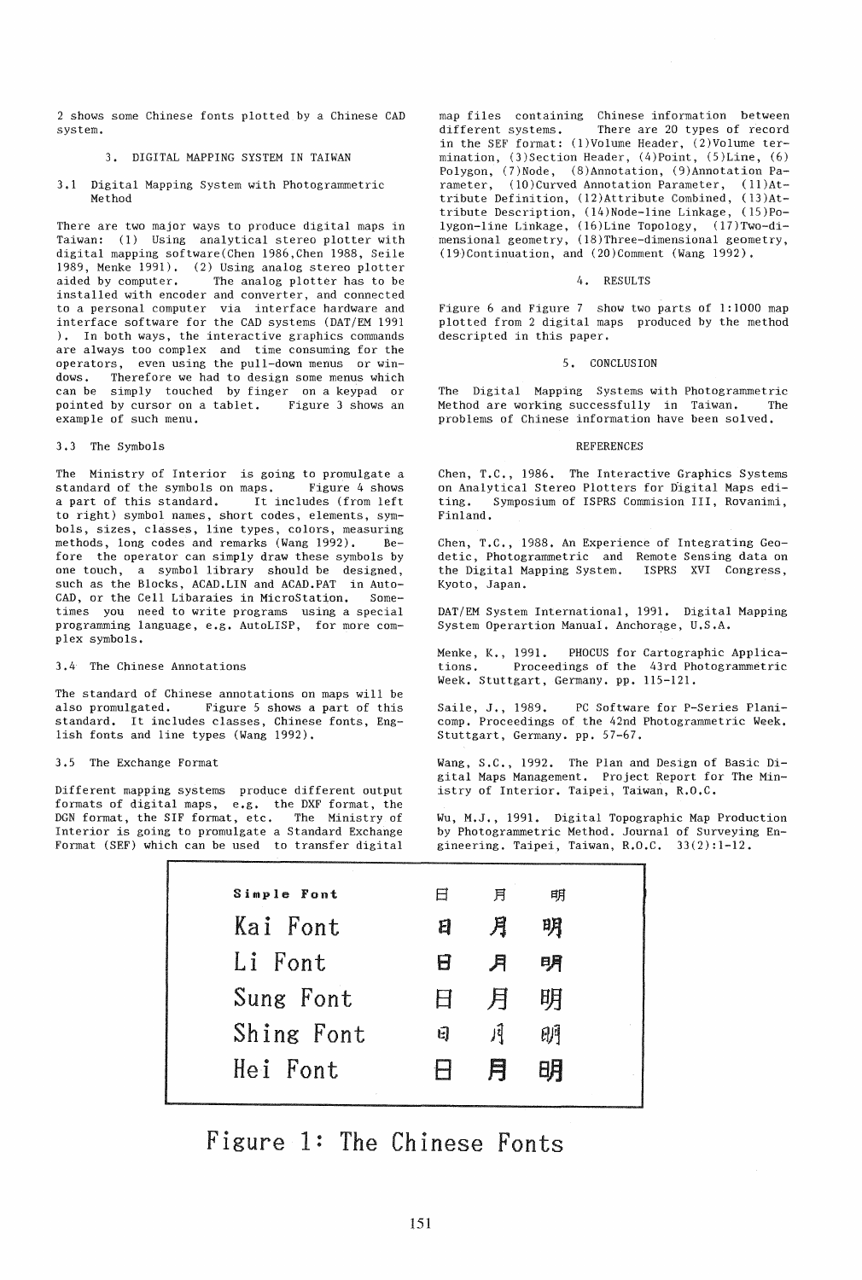2 shows some Chinese fonts plotted by a Chinese CAD system.

# 3. DIGITAL MAPPING SYSTEM IN TAIWAN

3.1 Digital Mapping System with Photogrammetric Method

There are two major ways to produce digital maps in Taiwan: (1) Using analytical stereo plotter with digital mapping software(Chen 1986,Chen 1988, Seile 1989, Menke 1991). (2) Using analog stereo plotter<br>aided by computer. The analog plotter has to be The analog plotter has to be installed with encoder and converter, and connected to a personal computer via interface hardware and interface software for the CAD systems (DAT/EM 1991 ). In both ways, the interactive graphics commands are always too complex and time consuming for the operators, even using the pull-down menus or windows. Therefore we had to design some menus which can be simply touched by finger on a keypad or pointed by cursor on a tablet. Figure 3 shows an example of such menu.

### 3.3 The Symbols

The Ministry of Interior is going to promulgate a<br>standard of the symbols on maps. Figure 4 shows standard of the symbols on maps. a part of this standard. It includes (from left to right) symbol names, short codes, elements, symbols, sizes, classes, line types, colors, measuring methods, long codes and remarks (Wang 1992). Before the operator can simply draw these symbols by one touch, a symbol library should be designed, such as the Blocks, ACAD.LIN and ACAD.PAT in Auto-<br>CAD, or the Cell Libaraies in MicroStation. Some-CAD, or the Cell Libaraies in MicroStation. times you need to write programs using a special programming language, e.g. AutoLISP, for more complex symbols.

3.4 The Chinese Annotations

The standard of Chinese annotations on maps will be also promulgated. Figure 5 shows a part of this Figure 5 shows a part of this standard. It includes classes, Chinese fonts, English fonts and line types (Wang 1992).

3.5 The Exchange Format

Different mapping systems produce different output formats of digital maps, e.g. the DXF format, the DGN format, the SIF format, etc. The Ministry of Interior is going to promulgate a Standard Exchange Format (SEF) which can be used to transfer digital

map files containing Chinese information between<br>different systems. There are 20 types of record There are 20 types of record in the SEF format: (l)Volume Header, (2)Volume termination, (3)Section Header, (4)Point, (5)Line, (6) Polygon, (7)Node, (8)Annotation, (9)Annotation Parameter, (10)Curved Annotation Parameter, (11)Attribute Definition, (12)Attribute Combined, (13)Attribute Description, (14)Node-line Linkage, (15)Polygon-line Linkage, (16)Line Topology, (17)Two-dimensional geometry, (18)Three-dimensional geometry, (l9)Continuation, and (20)Comment (Wang 1992).

#### 4. RESULTS

Figure 6 and Figure 7 show two parts of  $1:1000$  map plotted from 2 digital maps produced by the method descripted in this paper.

### 5. CONCLUSION

The Digital Mapping Systems with Photogrammetric Method are working successfully in Taiwan. The problems of Chinese information have been solved.

#### **REFERENCES**

Chen, T.C., 1986. The Interactive Graphics Systems on Analytical Stereo Plotters for Digital Maps editing. Symposium of ISPRS Commision III, Rovanimi, Finland.

Chen, T.C., 1988. An Experience of Integrating Geodetic, Photogrammetric and Remote Sensing data on the Digital Mapping System. ISPRS XVI Congress, Kyoto, Japan.

DAT/EM System International, 1991. Digital Mapping System Operartion Manual. Anchorage, U.S.A.

Menke, K., 1991. PHOCUS for Cartographic Applica-<br>tions. Proceedings of the 43rd Photogrammetric Proceedings of the 43rd Photogrammetric Week. Stuttgart, Germany. pp. 115-121.

Saile, J., 1989. PC Software for P-Series Planicomp. Proceedings of the 42nd Photogrammetric Week. Stuttgart, Germany. pp. 57-67.

Wang, S.C., 1992. The Plan and Design of Basic Digital Maps Management. Project Report for The Ministry of Interior. Taipei, Taiwan, R.O,C.

Wu, M.J., 1991. Digital Topographic Map Production by Photogrammetric Method. Journal of Surveying Engineering. Taipei, Taiwan, R.O.C. 33(2):1-12.

| Simple Font | 日        | 月    | 明  |  |
|-------------|----------|------|----|--|
| Kai Font    | E        | 月    | 明  |  |
| Li Font     | 8        | 月    | 明  |  |
| Sung Font   | <b>H</b> | F.   | 明  |  |
| Shing Font  | E)       | ।र्ग | 明  |  |
| Hei Font    |          | E    | 8Ħ |  |

Figure 1: The Chinese Fonts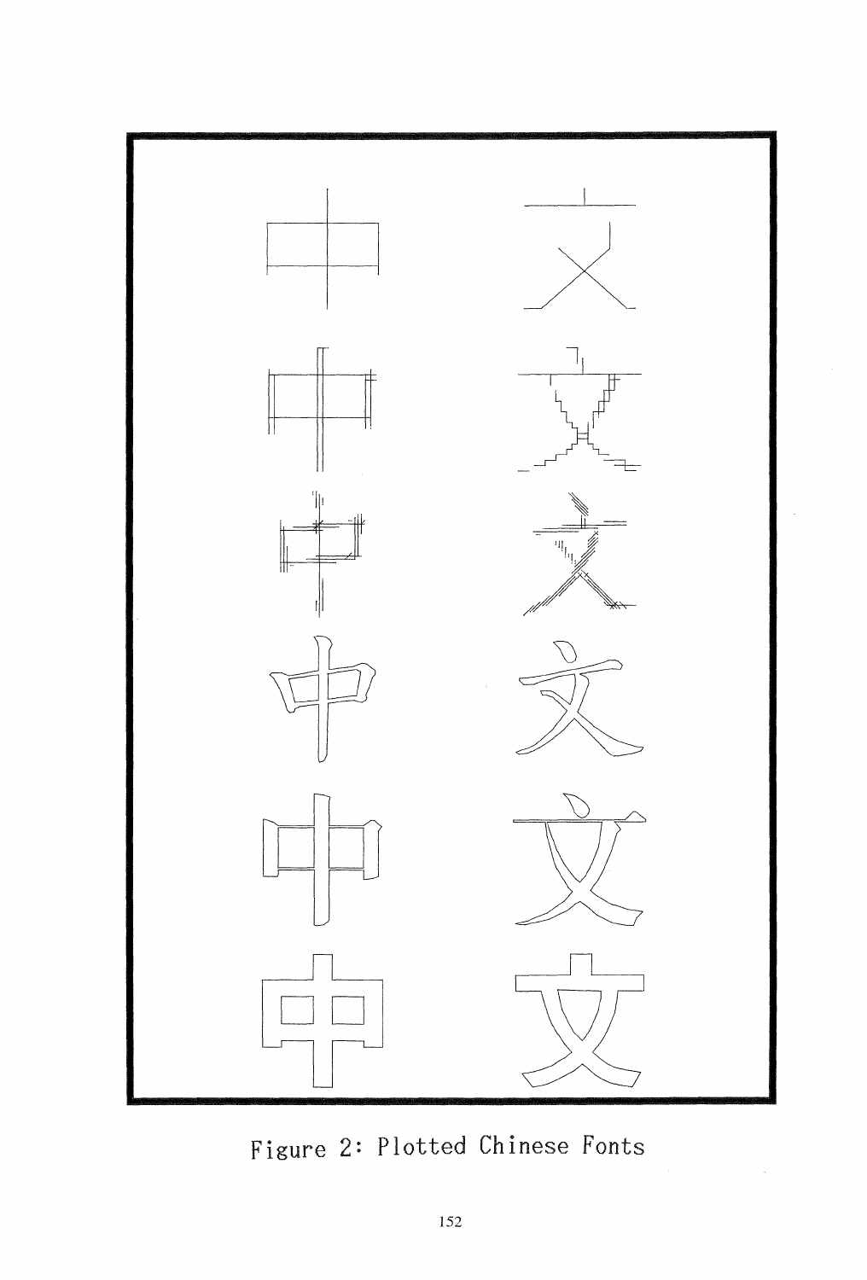

**Figure 2: Plotted Chinese Fonts**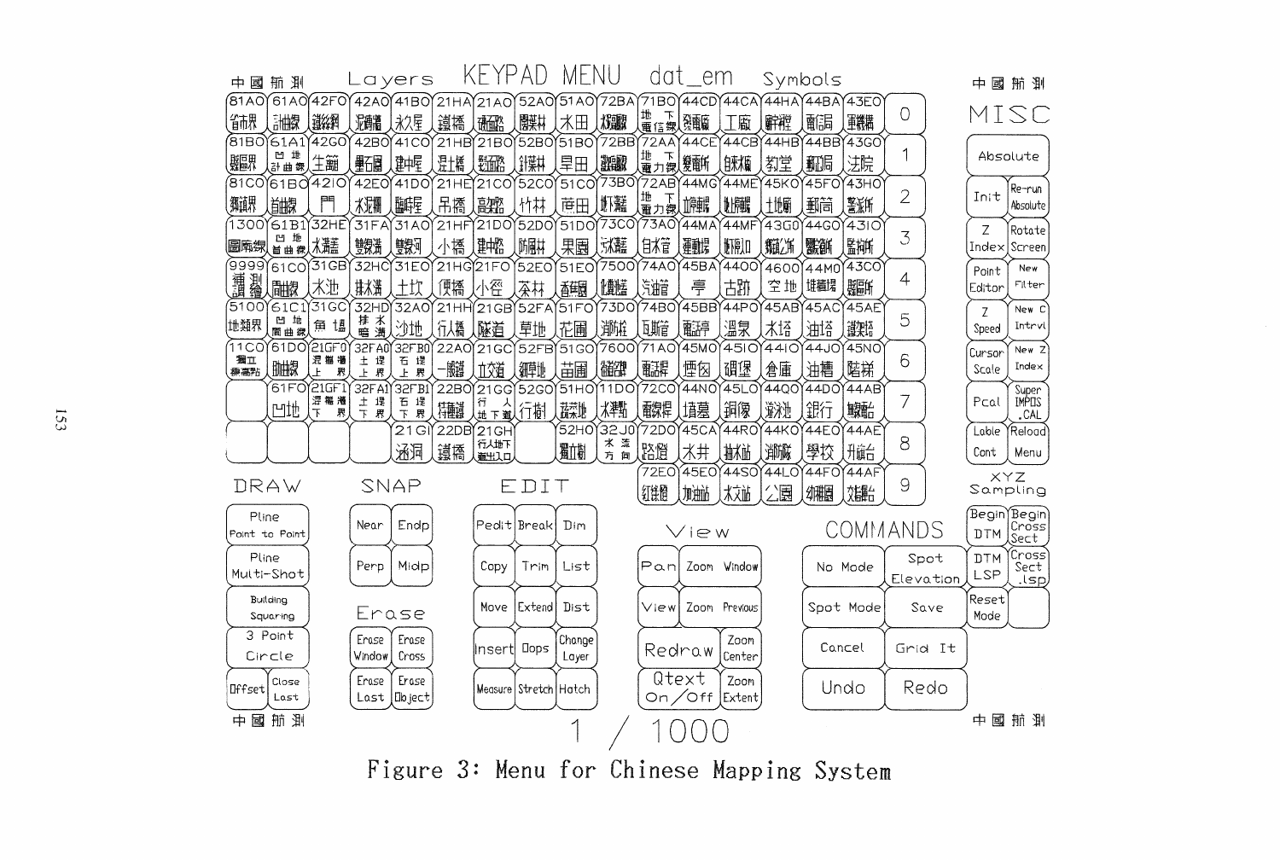

Figure 3: Menu for Chinese Mapping System

 $153$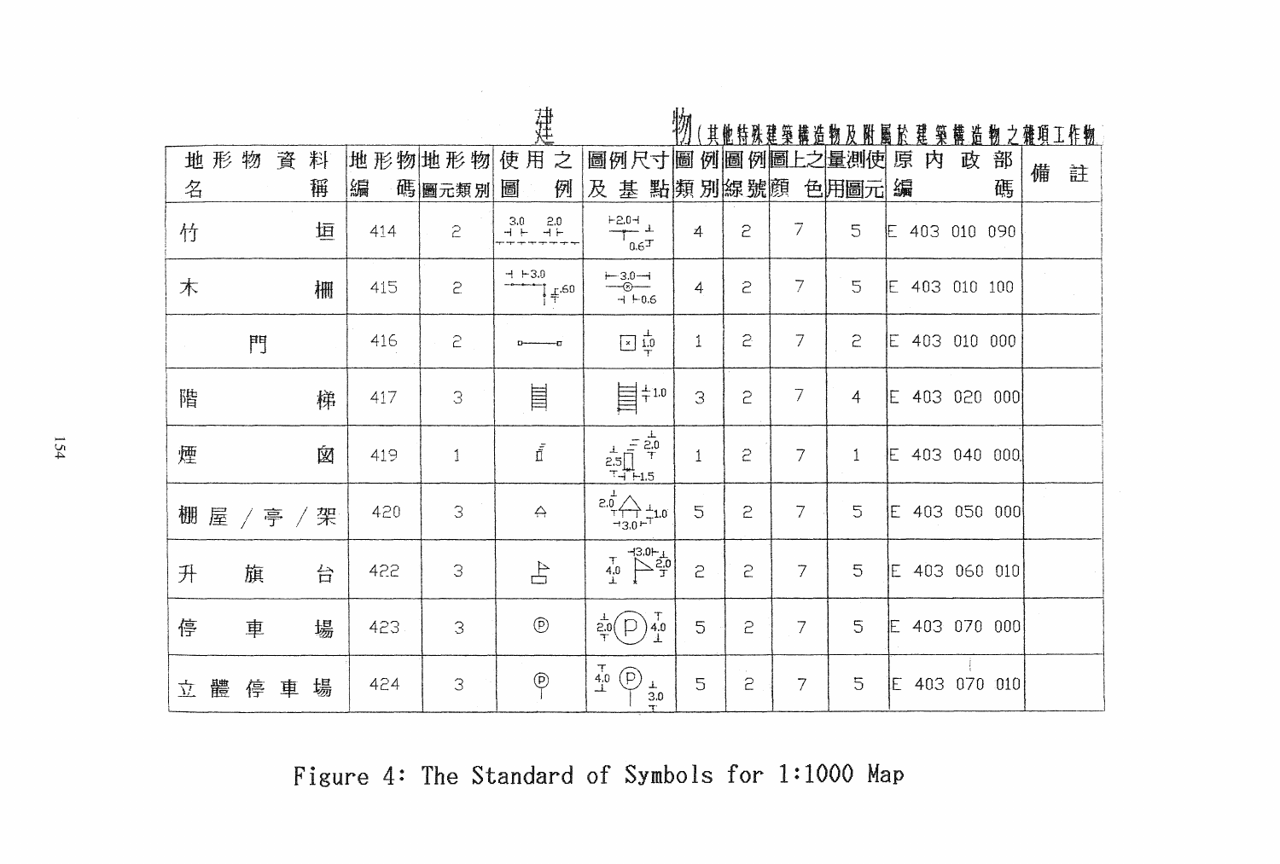|             |        |     |              | 建                                             |                                                                                                                                                                                                                                                                                                                                                                                                                                                                                                        | 物            |                       |                | 其他特殊建築構造物及附屬於建築構造物之雜項工作物 |               |   |   |   |   |
|-------------|--------|-----|--------------|-----------------------------------------------|--------------------------------------------------------------------------------------------------------------------------------------------------------------------------------------------------------------------------------------------------------------------------------------------------------------------------------------------------------------------------------------------------------------------------------------------------------------------------------------------------------|--------------|-----------------------|----------------|--------------------------|---------------|---|---|---|---|
| 形<br>物<br>地 | 料<br>資 |     | 地形物地形物       | 使用<br>之                                       | 圖例尺寸圖 例圖 例圖上之量測使                                                                                                                                                                                                                                                                                                                                                                                                                                                                                       |              |                       |                |                          | 原<br>内        | 政 | 部 | 備 | 註 |
| 名           | 稱      | 編   | 碼圖元類別        | 例<br>圖                                        | 及<br>基                                                                                                                                                                                                                                                                                                                                                                                                                                                                                                 | 點類別線號顏       |                       |                | 色用圖元                     | 編             |   | 碼 |   |   |
| 竹           | 垣      | 414 | $\tilde{c}$  | $2.0$<br>$-1 +$<br>$-3.0$                     | $\begin{array}{r} +0.5^+ \\ +2.0^+ \\ \hline 0.6^+ \end{array}$                                                                                                                                                                                                                                                                                                                                                                                                                                        | 4            | 5                     | 7              | 5                        | E 403 010 090 |   |   |   |   |
| 木           | 栅      | 415 | 5            | $-1 + 3.0$<br>$\frac{1}{4}$ $\frac{1}{4}$ .60 | $-3.0 -$<br>-0.6<br>+ + 0.6                                                                                                                                                                                                                                                                                                                                                                                                                                                                            | 4            | 5                     | $\overline{7}$ | $\overline{5}$           | E 403 010 100 |   |   |   |   |
| 門           |        | 416 | 2            |                                               | $\boxed{\times}$ $\frac{1}{1.0}$                                                                                                                                                                                                                                                                                                                                                                                                                                                                       | $\mathbf{1}$ | 5                     | $\overline{7}$ | $\tilde{c}$              | E 403 010 000 |   |   |   |   |
| 階           | 梯      | 417 | 3            | E                                             | $\pm 1.0$<br>E                                                                                                                                                                                                                                                                                                                                                                                                                                                                                         | 3            | 2                     | 7              | $\overline{4}$           | E 403 020 000 |   |   |   |   |
| 煙           | 囟      | 419 | $\mathbf{1}$ | $\bar{\tilde{\Pi}}$                           | $\begin{array}{c}\n\hline\n\downarrow & = \frac{1}{2,0} \\ \hline\n2,5 & \frac{1}{1} \\ \hline\n\downarrow & \frac{1}{1} \\ \hline\n\downarrow & \frac{1}{1} \\ \hline\n\downarrow & \frac{1}{1} \\ \hline\n\downarrow & \frac{1}{1} \\ \hline\n\downarrow & \frac{1}{1} \\ \hline\n\downarrow & \frac{1}{1} \\ \hline\n\downarrow & \frac{1}{1} \\ \hline\n\downarrow & \frac{1}{1} \\ \hline\n\downarrow & \frac{1}{1} \\ \hline\n\downarrow & \frac{1}{1} \\ \hline\n\downarrow & \frac{1}{1} \\ \$ | $1\,$        | $\tilde{c}$           | $\overline{7}$ | $\mathbf{1}$             | E 403 040 000 |   |   |   |   |
| 棚屋          | /亭/架   | 420 | 3            | $\leftrightarrow$                             | $\frac{2.0}{0.0}$ $\leftarrow$ $\frac{1}{1.0}$ $\frac{1}{1.0}$ $\frac{1}{1.0}$                                                                                                                                                                                                                                                                                                                                                                                                                         | 5            | 5                     | $\overline{7}$ | 5                        | E 403 050 000 |   |   |   |   |
| 升<br>旗      | 台      | 422 | 3            | $\pm$                                         | $\begin{picture}(120,17) \put(0,0){\line(1,0){150}} \put(15,0){\line(1,0){150}} \put(15,0){\line(1,0){150}} \put(15,0){\line(1,0){150}} \put(15,0){\line(1,0){150}} \put(15,0){\line(1,0){150}} \put(15,0){\line(1,0){150}} \put(15,0){\line(1,0){150}} \put(15,0){\line(1,0){150}} \put(15,0){\line(1,0){150}} \put(15,0){\line(1,0){150}}$<br>$\begin{matrix} 7 \\ 4.0 \\ 1 \end{matrix}$                                                                                                            | 5            | 5                     | 7              | 5                        | E 403 060 010 |   |   |   |   |
| 停<br>車      | 場      | 423 | 3            | $^{\circledR}$                                | $\frac{1}{20}(\bigcap_{T} \frac{1}{40}$                                                                                                                                                                                                                                                                                                                                                                                                                                                                | 5            | 5                     | 7              | 5                        | E 403 070 000 |   |   |   |   |
| 體<br>停<br>立 | 場<br>車 | 424 | 3            | $\overline{P}$                                | $\begin{array}{c} \mathbf{7}\\ \mathbf{4.0} \\ \mathbf{\perp} \end{array}$<br>$\left( \mathsf{p}\right)$<br>$\frac{1}{1}$                                                                                                                                                                                                                                                                                                                                                                              | 5            | $\sim$<br>$\tilde{c}$ | $\overline{7}$ | 5                        | E 403 070 010 |   |   |   |   |

Figure 4: The Standard of Symbols for 1:1000 Map

 $154$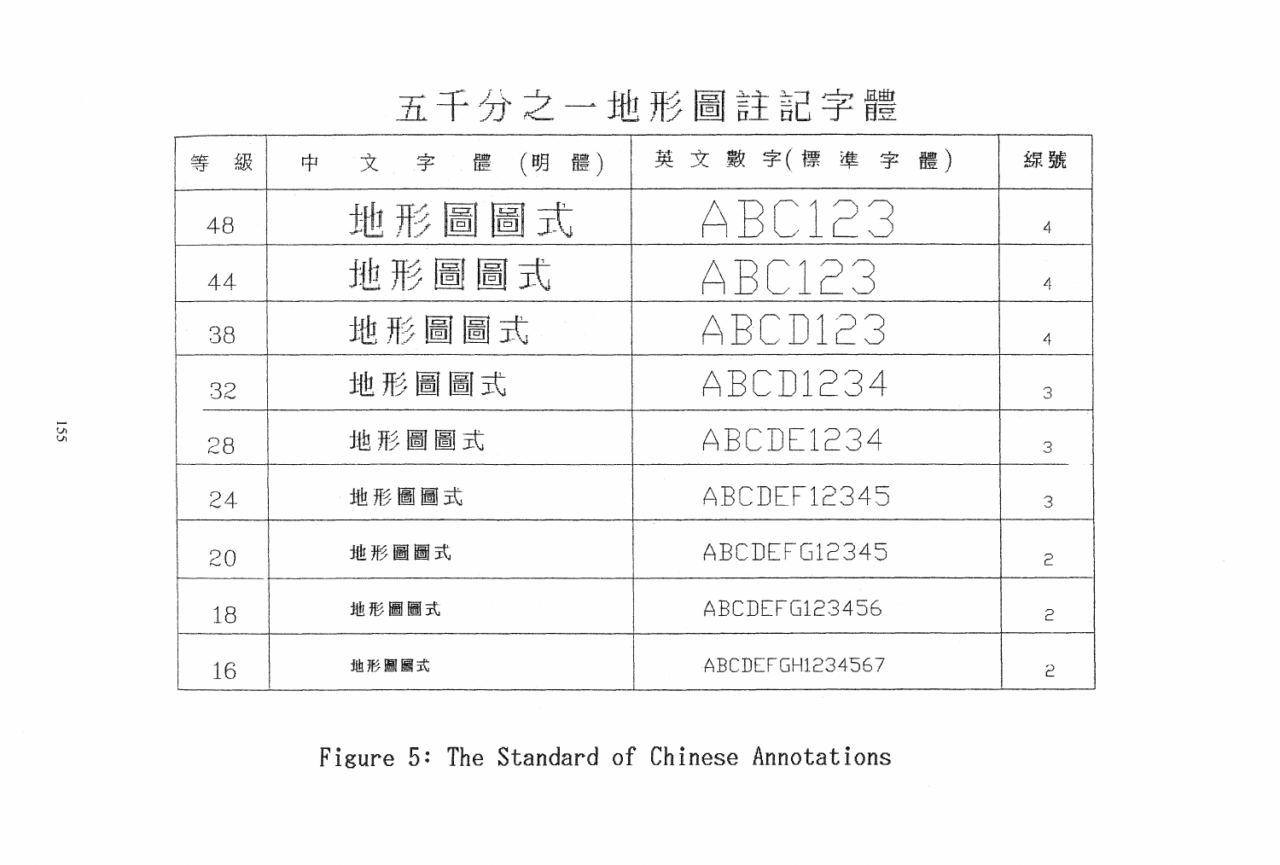|  | $\mathbf{I}$ $\mathbf{I}$ |  |  | 地形圖註記字' |  | .HH<br>íН |
|--|---------------------------|--|--|---------|--|-----------|
|  |                           |  |  |         |  |           |

| 級<br>等 | 文字體(明<br>體)<br>中 | 英文數字(標準字體)      | 線號 |
|--------|------------------|-----------------|----|
| 48     | 地形圖圖式            | ABC123          | 4  |
| 44     | 地形圖圖式            | ABC123          | 4  |
| 38     | 地形圖圖式            | ABCD123         | 4  |
| 32     | 地形圖圖式            | ABCD1234        | 3  |
| 28     | 地形圖圖式            | ABCDE1234       | 3  |
| 24     | 地形圖圖式            | ABCDEF12345     | 3  |
| 20     | 地形圖圖式            | ABCDEFG12345    | 5  |
| 18     | 地形圖圖式            | ABCDEFG123456   | 5  |
| 16     | 地形圖圖式            | ABCDEFGH1234567 | 2  |

Figure 5: The Standard of Chinese Annotations

155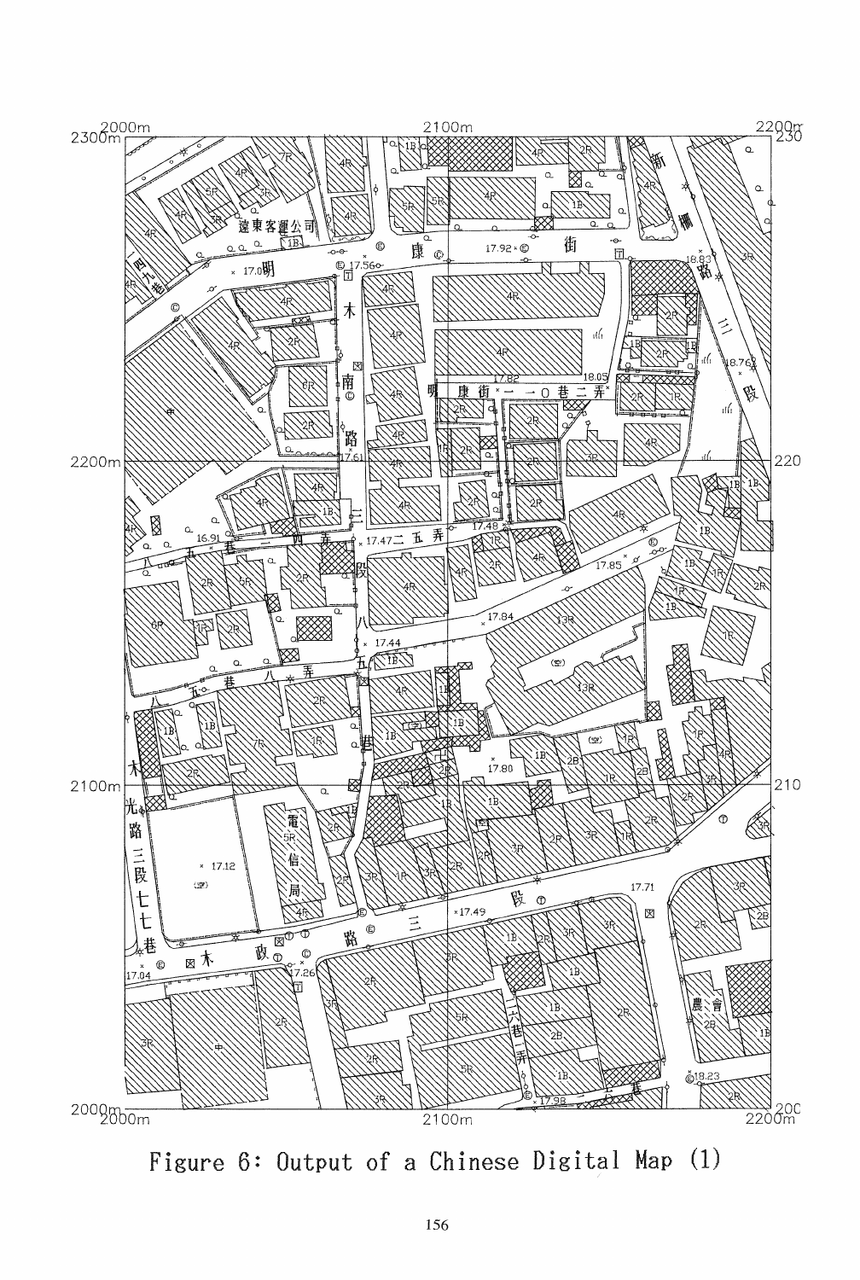

Figure 6: Output of a Chinese Digital Map (1)